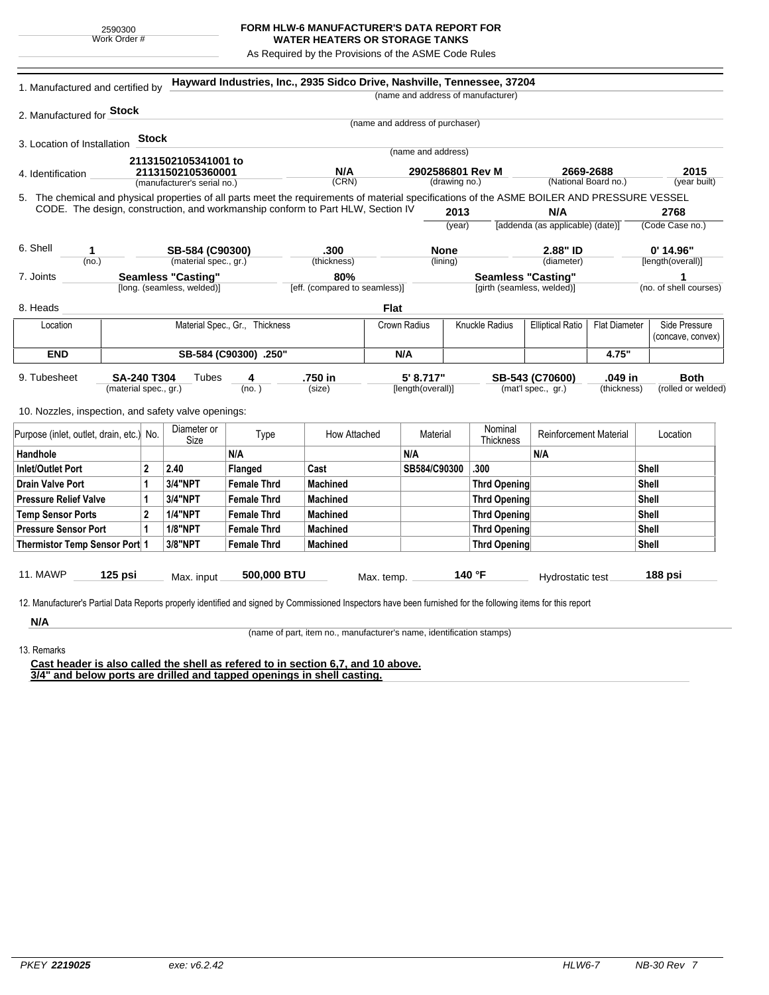## **FORM HLW-6 MANUFACTURER'S DATA REPORT FOR WATER HEATERS OR STORAGE TANKS**

As Required by the Provisions of the ASME Code Rules

| 2. Manufactured for <b>Stock</b><br>3. Location of Installation<br>4. Identification<br>5. The chemical and physical properties of all parts meet the requirements of material specifications of the ASME BOILER AND PRESSURE VESSEL<br>CODE. The design, construction, and workmanship conform to Part HLW, Section IV | <b>Stock</b>                             | 21131502105341001 to<br>21131502105360001<br>(manufacturer's serial no.) |                    | N/A                           | (name and address of manufacturer)<br>(name and address of purchaser)<br>(name and address) |                         |                            |                                                 |             |                                  |
|-------------------------------------------------------------------------------------------------------------------------------------------------------------------------------------------------------------------------------------------------------------------------------------------------------------------------|------------------------------------------|--------------------------------------------------------------------------|--------------------|-------------------------------|---------------------------------------------------------------------------------------------|-------------------------|----------------------------|-------------------------------------------------|-------------|----------------------------------|
|                                                                                                                                                                                                                                                                                                                         |                                          |                                                                          |                    |                               |                                                                                             |                         |                            |                                                 |             |                                  |
|                                                                                                                                                                                                                                                                                                                         |                                          |                                                                          |                    |                               |                                                                                             |                         |                            |                                                 |             |                                  |
|                                                                                                                                                                                                                                                                                                                         |                                          |                                                                          |                    |                               |                                                                                             |                         |                            |                                                 |             |                                  |
|                                                                                                                                                                                                                                                                                                                         |                                          |                                                                          |                    |                               |                                                                                             |                         |                            |                                                 |             |                                  |
|                                                                                                                                                                                                                                                                                                                         |                                          |                                                                          |                    |                               | 2902586801 Rev M                                                                            |                         |                            | 2669-2688                                       |             | 2015                             |
|                                                                                                                                                                                                                                                                                                                         |                                          |                                                                          |                    | (CRN)                         | (drawing no.)                                                                               |                         |                            | (National Board no.)                            |             | (year built)                     |
|                                                                                                                                                                                                                                                                                                                         |                                          |                                                                          |                    |                               |                                                                                             |                         |                            |                                                 |             |                                  |
|                                                                                                                                                                                                                                                                                                                         |                                          |                                                                          |                    |                               |                                                                                             | 2013                    |                            | N/A                                             |             | 2768                             |
|                                                                                                                                                                                                                                                                                                                         |                                          |                                                                          |                    |                               |                                                                                             | (year)                  |                            | [addenda (as applicable) (date)]                |             | (Code Case no.)                  |
| 6. Shell                                                                                                                                                                                                                                                                                                                |                                          |                                                                          |                    |                               |                                                                                             |                         |                            |                                                 |             |                                  |
| 1<br>(no.)                                                                                                                                                                                                                                                                                                              | SB-584 (C90300)<br>(material spec., gr.) |                                                                          |                    | .300<br>(thickness)           |                                                                                             | <b>None</b><br>(lining) |                            | 2.88" ID<br>(diameter)                          |             | $0'$ 14.96"<br>[length(overall)] |
| 7. Joints                                                                                                                                                                                                                                                                                                               | <b>Seamless "Casting"</b>                |                                                                          |                    | 80%                           |                                                                                             |                         |                            | <b>Seamless "Casting"</b>                       |             | 1                                |
|                                                                                                                                                                                                                                                                                                                         |                                          | [long. (seamless, welded)]                                               |                    | [eff. (compared to seamless)] |                                                                                             |                         | [girth (seamless, welded)] |                                                 |             | (no. of shell courses)           |
| 8. Heads                                                                                                                                                                                                                                                                                                                |                                          |                                                                          |                    |                               | <b>Flat</b>                                                                                 |                         |                            |                                                 |             |                                  |
| Material Spec., Gr., Thickness<br>Location                                                                                                                                                                                                                                                                              |                                          |                                                                          |                    |                               | Crown Radius                                                                                | Knuckle Radius          |                            | <b>Elliptical Ratio</b><br><b>Flat Diameter</b> |             | Side Pressure                    |
|                                                                                                                                                                                                                                                                                                                         |                                          |                                                                          |                    |                               |                                                                                             |                         |                            |                                                 |             | (concave, convex)                |
| <b>END</b>                                                                                                                                                                                                                                                                                                              | SB-584 (C90300) .250"                    |                                                                          |                    |                               | N/A                                                                                         |                         |                            |                                                 | 4.75"       |                                  |
| SA-240 T304<br>9. Tubesheet                                                                                                                                                                                                                                                                                             |                                          | Tubes                                                                    | 4                  | .750 in                       | 5' 8.717"                                                                                   |                         |                            | SB-543 (C70600)                                 | .049 in     | <b>Both</b>                      |
| (material spec., gr.)                                                                                                                                                                                                                                                                                                   |                                          |                                                                          | (no.)              | (size)                        | [length(overall)]                                                                           |                         |                            | (mat'l spec., gr.)                              | (thickness) | (rolled or welded)               |
|                                                                                                                                                                                                                                                                                                                         |                                          |                                                                          |                    |                               |                                                                                             |                         |                            |                                                 |             |                                  |
| 10. Nozzles, inspection, and safety valve openings:                                                                                                                                                                                                                                                                     |                                          |                                                                          |                    |                               |                                                                                             |                         |                            |                                                 |             |                                  |
| Purpose (inlet, outlet, drain, etc.) No.                                                                                                                                                                                                                                                                                |                                          | Diameter or<br>Size                                                      | Type               | How Attached                  |                                                                                             | Material                | Nominal<br>Thickness       | <b>Reinforcement Material</b>                   |             | Location                         |
| Handhole                                                                                                                                                                                                                                                                                                                |                                          |                                                                          | N/A                |                               | N/A                                                                                         |                         |                            | N/A                                             |             |                                  |
| Inlet/Outlet Port                                                                                                                                                                                                                                                                                                       | $\mathbf{2}$                             | 2.40                                                                     | Flanged            | Cast                          |                                                                                             | SB584/C90300            | .300                       |                                                 |             | Shell                            |
| <b>Drain Valve Port</b>                                                                                                                                                                                                                                                                                                 | 1                                        | 3/4"NPT                                                                  | <b>Female Thrd</b> | Machined                      |                                                                                             |                         | <b>Thrd Opening</b>        |                                                 |             | Shell                            |
| <b>Pressure Relief Valve</b>                                                                                                                                                                                                                                                                                            | 1                                        | 3/4"NPT                                                                  | <b>Female Thrd</b> | <b>Machined</b>               |                                                                                             |                         | <b>Thrd Opening</b>        |                                                 |             | Shell                            |
| <b>Temp Sensor Ports</b>                                                                                                                                                                                                                                                                                                | $\mathbf{2}$                             | <b>1/4"NPT</b>                                                           | <b>Female Thrd</b> | Machined                      |                                                                                             |                         | <b>Thrd Opening</b>        |                                                 |             | Shell                            |
| <b>Pressure Sensor Port</b>                                                                                                                                                                                                                                                                                             | 1                                        | <b>1/8"NPT</b>                                                           | <b>Female Thrd</b> | <b>Machined</b>               |                                                                                             |                         | <b>Thrd Opening</b>        |                                                 |             | Shell                            |
| Thermistor Temp Sensor Port 1                                                                                                                                                                                                                                                                                           |                                          | 3/8"NPT                                                                  | <b>Female Thrd</b> | <b>Machined</b>               |                                                                                             |                         | <b>Thrd Opening</b>        |                                                 |             | <b>Shell</b>                     |
|                                                                                                                                                                                                                                                                                                                         |                                          |                                                                          |                    |                               |                                                                                             |                         |                            |                                                 |             |                                  |
| <b>11. MAWP</b><br>$125$ psi                                                                                                                                                                                                                                                                                            |                                          | 500,000 BTU<br>Max. input                                                |                    |                               | 140 °F<br>Max. temp.                                                                        |                         | Hydrostatic test           |                                                 |             | 188 psi                          |
|                                                                                                                                                                                                                                                                                                                         |                                          |                                                                          |                    |                               |                                                                                             |                         |                            |                                                 |             |                                  |

13. Remarks

(name of part, item no., manufacturer's name, identification stamps)

**Cast header is also called the shell as refered to in section 6,7, and 10 above. 3/4" and below ports are drilled and tapped openings in shell casting.**